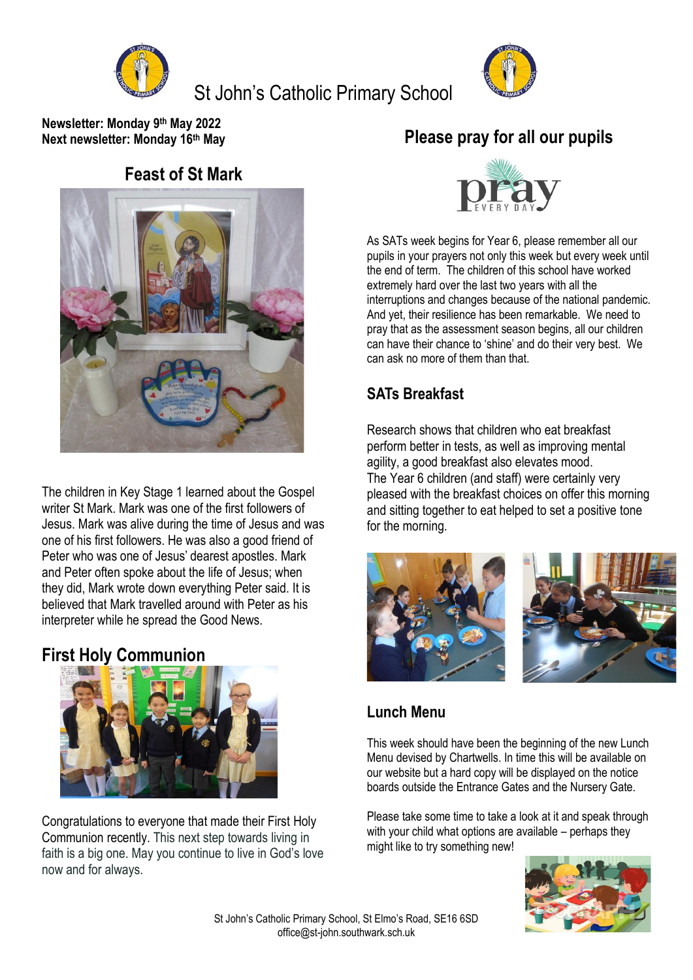

St John's Catholic Primary School



**Newsletter: Monday 9 th May 2022 Next newsletter: Monday 16th May**

#### **Feast of St Mark**



The children in Key Stage 1 learned about the Gospel writer St Mark. Mark was one of the first followers of Jesus. Mark was alive during the time of Jesus and was one of his first followers. He was also a good friend of Peter who was one of Jesus' dearest apostles. Mark and Peter often spoke about the life of Jesus; when they did, Mark wrote down everything Peter said. It is believed that Mark travelled around with Peter as his interpreter while he spread the Good News.

#### **First Holy Communion**



Congratulations to everyone that made their First Holy Communion recently. This next step towards living in faith is a big one. May you continue to live in God's love now and for always.

# **Please pray for all our pupils**



As SATs week begins for Year 6, please remember all our pupils in your prayers not only this week but every week until the end of term. The children of this school have worked extremely hard over the last two years with all the interruptions and changes because of the national pandemic. And yet, their resilience has been remarkable. We need to pray that as the assessment season begins, all our children can have their chance to 'shine' and do their very best. We can ask no more of them than that.

### **SATs Breakfast**

Research shows that children who eat breakfast perform better in tests, as well as improving mental agility, a good breakfast also elevates mood. The Year 6 children (and staff) were certainly very pleased with the breakfast choices on offer this morning and sitting together to eat helped to set a positive tone for the morning.



### **Lunch Menu**

This week should have been the beginning of the new Lunch Menu devised by Chartwells. In time this will be available on our website but a hard copy will be displayed on the notice boards outside the Entrance Gates and the Nursery Gate.

Please take some time to take a look at it and speak through with your child what options are available – perhaps they might like to try something new!

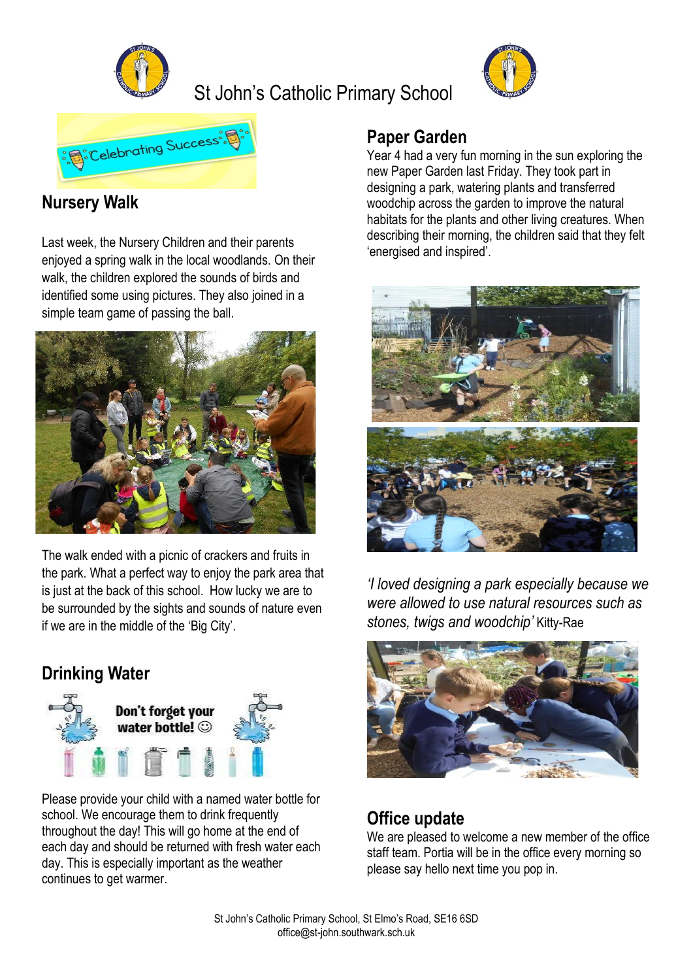

St John's Catholic Primary School





## **Nursery Walk**

Last week, the Nursery Children and their parents enjoyed a spring walk in the local woodlands. On their walk, the children explored the sounds of birds and identified some using pictures. They also joined in a simple team game of passing the ball.



The walk ended with a picnic of crackers and fruits in the park. What a perfect way to enjoy the park area that is just at the back of this school. How lucky we are to be surrounded by the sights and sounds of nature even if we are in the middle of the 'Big City'.

## **Drinking Water**



Please provide your child with a named water bottle for school. We encourage them to drink frequently throughout the day! This will go home at the end of each day and should be returned with fresh water each day. This is especially important as the weather continues to get warmer.

### **Paper Garden**

Year 4 had a very fun morning in the sun exploring the new Paper Garden last Friday. They took part in designing a park, watering plants and transferred woodchip across the garden to improve the natural habitats for the plants and other living creatures. When describing their morning, the children said that they felt 'energised and inspired'.



*'I loved designing a park especially because we were allowed to use natural resources such as stones, twigs and woodchip'* Kitty-Rae



### **Office update**

We are pleased to welcome a new member of the office staff team. Portia will be in the office every morning so please say hello next time you pop in.